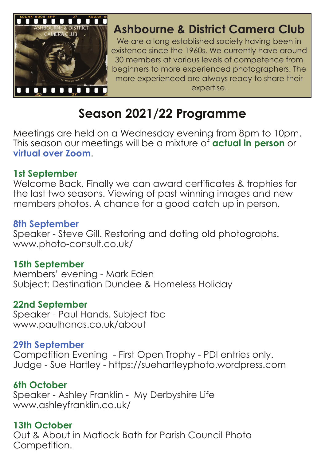

## **Ashbourne & District Camera Club**

We are a long established society having been in existence since the 1960s. We currently have around 30 members at various levels of competence from beginners to more experienced photographers. The more experienced are always ready to share their expertise.

# **Season 2021/22 Programme**

Meetings are held on a Wednesday evening from 8pm to 10pm. This season our meetings will be a mixture of **actual in person** or **virtual over Zoom**.

#### **1st September**

Welcome Back. Finally we can award certificates & trophies for the last two seasons. Viewing of past winning images and new members photos. A chance for a good catch up in person.

## **8th September**

Speaker - Steve Gill. Restoring and dating old photographs. www.photo-consult.co.uk/

## **15th September**

Members' evening - Mark Eden Subject: Destination Dundee & Homeless Holiday

## **22nd September**

Speaker - Paul Hands. Subject tbc www.paulhands.co.uk/about

## **29th September**

Competition Evening - First Open Trophy - PDI entries only. Judge - Sue Hartley - https://suehartleyphoto.wordpress.com

## **6th October**

Speaker - Ashley Franklin - My Derbyshire Life www.ashleyfranklin.co.uk/

## **13th October**

Out & About in Matlock Bath for Parish Council Photo Competition.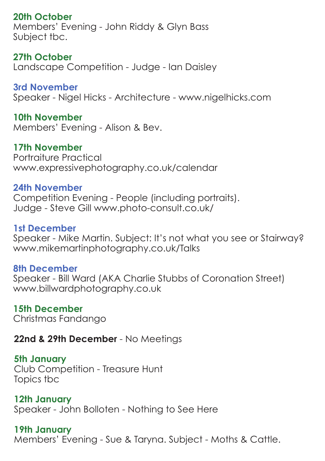## **20th October**

Members' Evening - John Riddy & Glyn Bass Subject tbc.

**27th October** Landscape Competition - Judge - Ian Daisley

**3rd November** Speaker - Nigel Hicks - Architecture - www.nigelhicks.com

**10th November** Members' Evening - Alison & Bev.

**17th November** Portraiture Practical www.expressivephotography.co.uk/calendar

#### **24th November**

Competition Evening - People (including portraits). Judge - Steve Gill www.photo-consult.co.uk/

#### **1st December**

Speaker - Mike Martin. Subject: It's not what you see or Stairway? www.mikemartinphotography.co.uk/Talks

#### **8th December**

Speaker - Bill Ward (AKA Charlie Stubbs of Coronation Street) www.billwardphotography.co.uk

#### **15th December**

Christmas Fandango

**22nd & 29th December** - No Meetings

#### **5th January**

Club Competition - Treasure Hunt Topics tbc

**12th January** Speaker - John Bolloten - Nothing to See Here

**19th January** Members' Evening - Sue & Taryna. Subject - Moths & Cattle.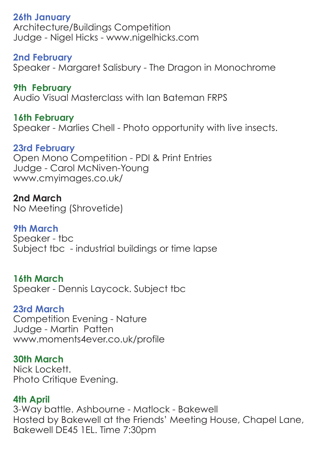**26th January** Architecture/Buildings Competition Judge - Nigel Hicks - www.nigelhicks.com

**2nd February** Speaker - Margaret Salisbury - The Dragon in Monochrome

**9th February** Audio Visual Masterclass with Ian Bateman FRPS

**16th February** Speaker - Marlies Chell - Photo opportunity with live insects.

**23rd February** Open Mono Competition - PDI & Print Entries Judge - Carol McNiven-Young www.cmyimages.co.uk/

**2nd March** No Meeting (Shrovetide)

**9th March** Speaker - tbc Subject tbc - industrial buildings or time lapse

**16th March** Speaker - Dennis Laycock. Subject tbc

**23rd March** Competition Evening - Nature Judge - Martin Patten www.moments4ever.co.uk/profile

**30th March** Nick Lockett. Photo Critique Evening.

**4th April**

3-Way battle. Ashbourne - Matlock - Bakewell Hosted by Bakewell at the Friends' Meeting House, Chapel Lane, Bakewell DE45 1EL. Time 7:30pm